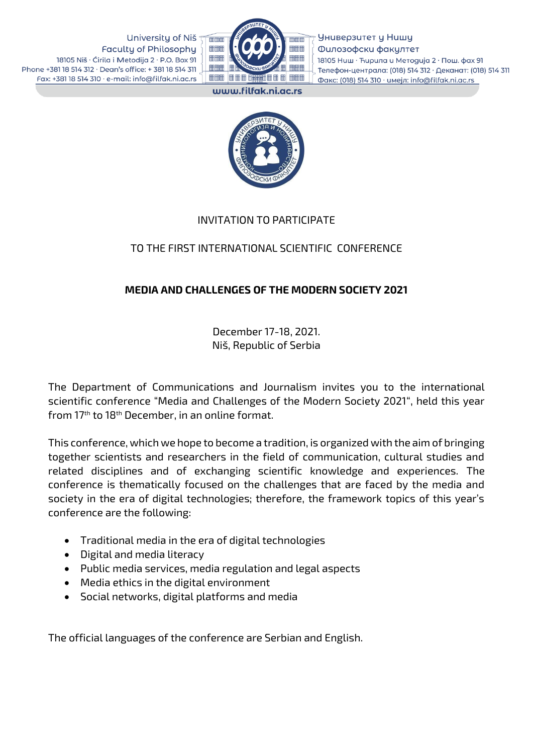University of Niš **Faculty of Philosophy** 18105 Niš · Ćirila i Metodija 2 · P.O. Box 91 Phone +381 18 514 312 · Dean's office: +381 18 514 311 Fax: +381 18 514 310 · e-mail: info@filfak.ni.ac.rs



Универзитет у Нишу Филозофски факултет 18105 Ниш · Ћирила и Методија 2 · Пош. фах 91 Телефон-централа: (018) 514 312 · Деканат: (018) 514 311 Факс: (018) 514 310 · имејл: info@filfak.ni.ac.rs

www.filfak.ni.ac.rs



#### INVITATION TO PARTICIPATE

# TO THE FIRST INTERNATIONAL SCIENTIFIC CONFERENCE

# MEDIA AND CHALLENGES OF THE MODERN SOCIETY 2021

December 17-18, 2021. Niš, Republic of Serbia

The Department of Communications and Journalism invites you to the international scientific conference "Меdia and Challenges of the Modern Society 2021", held this year from 17th to 18th December, in an online format.

This conference, which we hope to become a tradition, is organized with the aim of bringing together scientists and researchers in the field of communication, cultural studies and related disciplines and of exchanging scientific knowledge and experiences. The conference is thematically focused on the challenges that are faced by the media and society in the era of digital technologies; therefore, the framework topics of this year's conference are the following:

- Traditional media in the era of digital technologies
- Digital and media literacy
- Public media services, media regulation and legal aspects
- Media ethics in the digital environment
- Social networks, digital platforms and media

The official languages of the conference are Serbian and English.